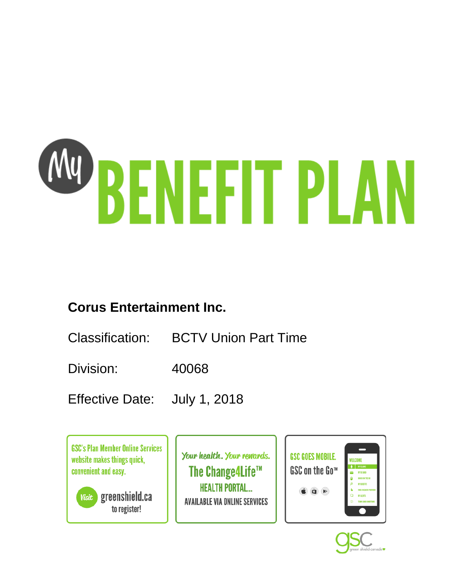# W BENEFIT PLAN

# **Corus Entertainment Inc.**

- Classification: BCTV Union Part Time
- Division: 40068
- Effective Date: July 1, 2018

**GSC's Plan Member Online Services** website makes things quick, convenient and easy.

greenshield.ca **Visit** to register!

Your health. Your rewards. The Change4Life™ **HEALTH PORTAL... AVAILABLE VIA ONLINE SERVICES** 



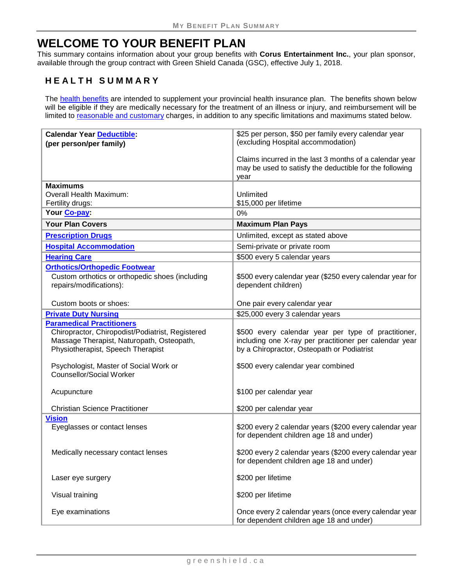# **WELCOME TO YOUR BENEFIT PLAN**

This summary contains information about your group benefits with **Corus Entertainment Inc.**, your plan sponsor, available through the group contract with Green Shield Canada (GSC), effective July 1, 2018.

# **HEALTH SUMMARY**

The [health benefits](#page-9-0) are intended to supplement your provincial health insurance plan. The benefits shown below will be eligible if they are medically necessary for the treatment of an illness or injury, and reimbursement will be limited to [reasonable and customary](#page-6-0) charges, in addition to any specific limitations and maximums stated below.

| <b>Calendar Year Deductible:</b>                                                                                                                                                                                 | \$25 per person, \$50 per family every calendar year                                                                                                                                              |
|------------------------------------------------------------------------------------------------------------------------------------------------------------------------------------------------------------------|---------------------------------------------------------------------------------------------------------------------------------------------------------------------------------------------------|
| (per person/per family)                                                                                                                                                                                          | (excluding Hospital accommodation)                                                                                                                                                                |
|                                                                                                                                                                                                                  | Claims incurred in the last 3 months of a calendar year<br>may be used to satisfy the deductible for the following<br>year                                                                        |
| <b>Maximums</b>                                                                                                                                                                                                  |                                                                                                                                                                                                   |
| Overall Health Maximum:                                                                                                                                                                                          | Unlimited                                                                                                                                                                                         |
| Fertility drugs:                                                                                                                                                                                                 | \$15,000 per lifetime                                                                                                                                                                             |
| Your Co-pay:                                                                                                                                                                                                     | 0%                                                                                                                                                                                                |
| <b>Your Plan Covers</b>                                                                                                                                                                                          | <b>Maximum Plan Pays</b>                                                                                                                                                                          |
| <b>Prescription Drugs</b>                                                                                                                                                                                        | Unlimited, except as stated above                                                                                                                                                                 |
| <b>Hospital Accommodation</b>                                                                                                                                                                                    | Semi-private or private room                                                                                                                                                                      |
| <b>Hearing Care</b>                                                                                                                                                                                              | \$500 every 5 calendar years                                                                                                                                                                      |
| <b>Orthotics/Orthopedic Footwear</b><br>Custom orthotics or orthopedic shoes (including<br>repairs/modifications):                                                                                               | \$500 every calendar year (\$250 every calendar year for<br>dependent children)                                                                                                                   |
| Custom boots or shoes:                                                                                                                                                                                           | One pair every calendar year                                                                                                                                                                      |
| <b>Private Duty Nursing</b>                                                                                                                                                                                      | \$25,000 every 3 calendar years                                                                                                                                                                   |
| <b>Paramedical Practitioners</b><br>Chiropractor, Chiropodist/Podiatrist, Registered<br>Massage Therapist, Naturopath, Osteopath,<br>Physiotherapist, Speech Therapist<br>Psychologist, Master of Social Work or | \$500 every calendar year per type of practitioner,<br>including one X-ray per practitioner per calendar year<br>by a Chiropractor, Osteopath or Podiatrist<br>\$500 every calendar year combined |
| <b>Counsellor/Social Worker</b><br>Acupuncture                                                                                                                                                                   | \$100 per calendar year                                                                                                                                                                           |
| <b>Christian Science Practitioner</b>                                                                                                                                                                            | \$200 per calendar year                                                                                                                                                                           |
| <b>Vision</b>                                                                                                                                                                                                    |                                                                                                                                                                                                   |
| Eyeglasses or contact lenses                                                                                                                                                                                     | \$200 every 2 calendar years (\$200 every calendar year<br>for dependent children age 18 and under)                                                                                               |
| Medically necessary contact lenses                                                                                                                                                                               | \$200 every 2 calendar years (\$200 every calendar year<br>for dependent children age 18 and under)                                                                                               |
| Laser eye surgery                                                                                                                                                                                                | \$200 per lifetime                                                                                                                                                                                |
| Visual training                                                                                                                                                                                                  | \$200 per lifetime                                                                                                                                                                                |
| Eye examinations                                                                                                                                                                                                 | Once every 2 calendar years (once every calendar year<br>for dependent children age 18 and under)                                                                                                 |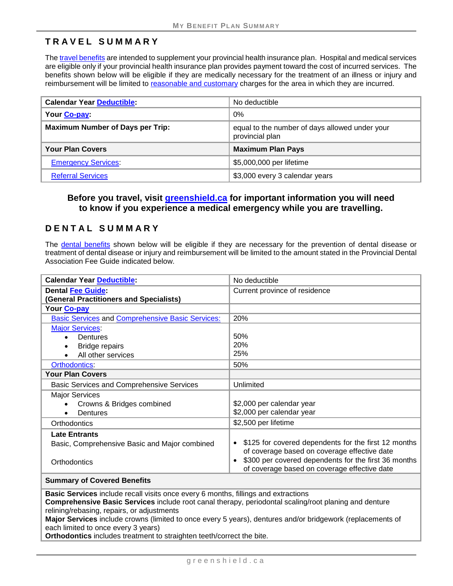# **TRAVEL SUMMARY**

Th[e travel benefits](#page-15-0) are intended to supplement your provincial health insurance plan. Hospital and medical services are eligible only if your provincial health insurance plan provides payment toward the cost of incurred services. The benefits shown below will be eligible if they are medically necessary for the treatment of an illness or injury and reimbursement will be limited to [reasonable and customary](#page-6-0) charges for the area in which they are incurred.

| <b>Calendar Year Deductible:</b>        | No deductible                                                     |
|-----------------------------------------|-------------------------------------------------------------------|
| Your Co-pay:                            | 0%                                                                |
| <b>Maximum Number of Days per Trip:</b> | equal to the number of days allowed under your<br>provincial plan |
| <b>Your Plan Covers</b>                 | <b>Maximum Plan Pays</b>                                          |
| <b>Emergency Services:</b>              | \$5,000,000 per lifetime                                          |
| <b>Referral Services</b>                | \$3,000 every 3 calendar years                                    |

#### **Before you travel, visit [greenshield.ca](http://www.greenshield.ca/) for important information you will need to know if you experience a medical emergency while you are travelling.**

#### **DENTAL SUMMARY**

The [dental benefits](#page-22-0) shown below will be eligible if they are necessary for the prevention of dental disease or treatment of dental disease or injury and reimbursement will be limited to the amount stated in the Provincial Dental Association Fee Guide indicated below.

| <b>Calendar Year Deductible:</b>                                                                                                                                                      | No deductible                                        |
|---------------------------------------------------------------------------------------------------------------------------------------------------------------------------------------|------------------------------------------------------|
| <b>Dental Fee Guide:</b>                                                                                                                                                              | Current province of residence                        |
| (General Practitioners and Specialists)                                                                                                                                               |                                                      |
| Your Co-pay                                                                                                                                                                           |                                                      |
| <b>Basic Services and Comprehensive Basic Services:</b>                                                                                                                               | 20%                                                  |
| <b>Major Services:</b>                                                                                                                                                                |                                                      |
| Dentures                                                                                                                                                                              | 50%                                                  |
| <b>Bridge repairs</b>                                                                                                                                                                 | 20%                                                  |
| All other services                                                                                                                                                                    | 25%                                                  |
| <b>Orthodontics:</b>                                                                                                                                                                  | 50%                                                  |
| <b>Your Plan Covers</b>                                                                                                                                                               |                                                      |
| <b>Basic Services and Comprehensive Services</b>                                                                                                                                      | Unlimited                                            |
| <b>Major Services</b>                                                                                                                                                                 |                                                      |
| Crowns & Bridges combined                                                                                                                                                             | \$2,000 per calendar year                            |
| Dentures<br>$\bullet$                                                                                                                                                                 | \$2,000 per calendar year                            |
| Orthodontics                                                                                                                                                                          | \$2,500 per lifetime                                 |
| <b>Late Entrants</b>                                                                                                                                                                  |                                                      |
| Basic, Comprehensive Basic and Major combined                                                                                                                                         | \$125 for covered dependents for the first 12 months |
|                                                                                                                                                                                       | of coverage based on coverage effective date         |
| Orthodontics                                                                                                                                                                          | \$300 per covered dependents for the first 36 months |
|                                                                                                                                                                                       | of coverage based on coverage effective date         |
| <b>Summary of Covered Benefits</b>                                                                                                                                                    |                                                      |
| Basic Services include recall visits once every 6 months, fillings and extractions                                                                                                    |                                                      |
| Comprehensive Basic Services include root canal therapy, periodontal scaling/root planing and denture                                                                                 |                                                      |
| relining/rebasing, repairs, or adjustments<br>Matan Osmatasa bashi da susing Ababbad b<br>a e e concerto de esta de la estrución de la desta de la concelha de la esta de la esta del |                                                      |

**Major Services** include crowns (limited to once every 5 years), dentures and/or bridgework (replacements of each limited to once every 3 years)

**Orthodontics** includes treatment to straighten teeth/correct the bite.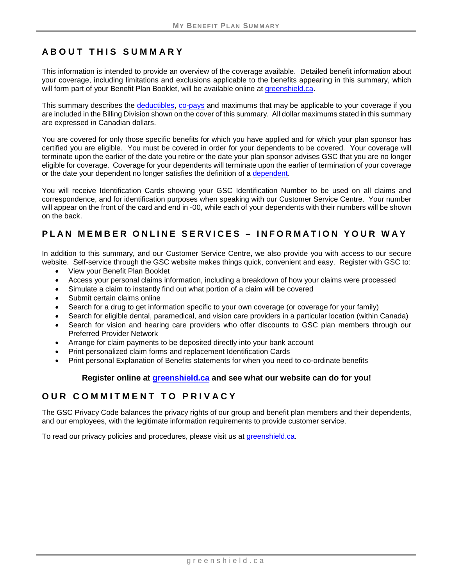# **ABOUT THIS SUMMARY**

This information is intended to provide an overview of the coverage available. Detailed benefit information about your coverage, including limitations and exclusions applicable to the benefits appearing in this summary, which will form part of your Benefit Plan Booklet, will be available online at [greenshield.ca.](http://www.greenshield.ca/)

This summary describes the [deductibles,](#page-5-0) [co-pays](#page-5-1) and maximums that may be applicable to your coverage if you are included in the Billing Division shown on the cover of this summary. All dollar maximums stated in this summary are expressed in Canadian dollars.

You are covered for only those specific benefits for which you have applied and for which your plan sponsor has certified you are eligible. You must be covered in order for your dependents to be covered. Your coverage will terminate upon the earlier of the date you retire or the date your plan sponsor advises GSC that you are no longer eligible for coverage. Coverage for your dependents will terminate upon the earlier of termination of your coverage or the date your dependent no longer satisfies the definition of a [dependent.](#page-5-2)

You will receive Identification Cards showing your GSC Identification Number to be used on all claims and correspondence, and for identification purposes when speaking with our Customer Service Centre. Your number will appear on the front of the card and end in -00, while each of your dependents with their numbers will be shown on the back.

# **PLAN MEMBER ONLINE SERVICES – INFORMATION YOUR WAY**

In addition to this summary, and our Customer Service Centre, we also provide you with access to our secure website. Self-service through the GSC website makes things quick, convenient and easy. Register with GSC to:

- View your Benefit Plan Booklet
- Access your personal claims information, including a breakdown of how your claims were processed
- Simulate a claim to instantly find out what portion of a claim will be covered
- Submit certain claims online
- Search for a drug to get information specific to your own coverage (or coverage for your family)
- Search for eligible dental, paramedical, and vision care providers in a particular location (within Canada)
- Search for vision and hearing care providers who offer discounts to GSC plan members through our Preferred Provider Network
- Arrange for claim payments to be deposited directly into your bank account
- Print personalized claim forms and replacement Identification Cards
- Print personal Explanation of Benefits statements for when you need to co-ordinate benefits

#### **Register online at [greenshield.ca](http://www.greenshield.ca/) and see what our website can do for you!**

#### **OUR COMMITMENT TO PRIVACY**

The GSC Privacy Code balances the privacy rights of our group and benefit plan members and their dependents, and our employees, with the legitimate information requirements to provide customer service.

To read our privacy policies and procedures, please visit us at [greenshield.ca.](http://www.greenshield.ca/)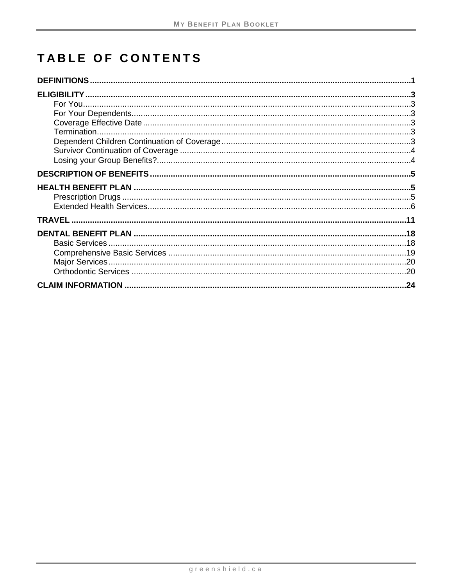# TABLE OF CONTENTS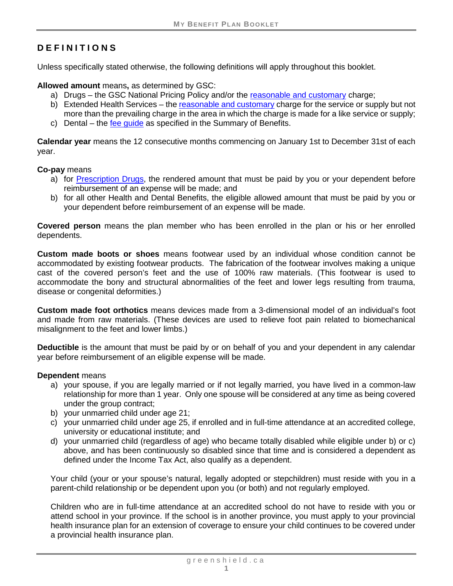# <span id="page-5-3"></span>**DEFINITIONS**

Unless specifically stated otherwise, the following definitions will apply throughout this booklet.

**Allowed amount** means**,** as determined by GSC:

- a) Drugs the GSC National Pricing Policy and/or the [reasonable and customary](#page-6-0) charge;
- b) Extended Health Services the [reasonable and customary](#page-6-0) charge for the service or supply but not more than the prevailing charge in the area in which the charge is made for a like service or supply;
- c) Dental the [fee guide](#page-6-1) as specified in the Summary of Benefits.

**Calendar year** means the 12 consecutive months commencing on January 1st to December 31st of each year.

#### <span id="page-5-1"></span>**Co-pay** means

- a) for [Prescription Drugs,](#page-9-1) the rendered amount that must be paid by you or your dependent before reimbursement of an expense will be made; and
- b) for all other Health and Dental Benefits, the eligible allowed amount that must be paid by you or your dependent before reimbursement of an expense will be made.

**Covered person** means the plan member who has been enrolled in the plan or his or her enrolled dependents.

<span id="page-5-5"></span>**Custom made boots or shoes** means footwear used by an individual whose condition cannot be accommodated by existing footwear products. The fabrication of the footwear involves making a unique cast of the covered person's feet and the use of 100% raw materials. (This footwear is used to accommodate the bony and structural abnormalities of the feet and lower legs resulting from trauma, disease or congenital deformities.)

<span id="page-5-4"></span>**Custom made foot orthotics** means devices made from a 3-dimensional model of an individual's foot and made from raw materials. (These devices are used to relieve foot pain related to biomechanical misalignment to the feet and lower limbs.)

<span id="page-5-0"></span>**Deductible** is the amount that must be paid by or on behalf of you and your dependent in any calendar year before reimbursement of an eligible expense will be made.

#### <span id="page-5-2"></span>**Dependent** means

- a) your spouse, if you are legally married or if not legally married, you have lived in a common-law relationship for more than 1 year. Only one spouse will be considered at any time as being covered under the group contract;
- b) your unmarried child under age 21;
- c) your unmarried child under age 25, if enrolled and in full-time attendance at an accredited college, university or educational institute; and
- d) your unmarried child (regardless of age) who became totally disabled while eligible under b) or c) above, and has been continuously so disabled since that time and is considered a dependent as defined under the Income Tax Act, also qualify as a dependent.

Your child (your or your spouse's natural, legally adopted or stepchildren) must reside with you in a parent-child relationship or be dependent upon you (or both) and not regularly employed.

Children who are in full-time attendance at an accredited school do not have to reside with you or attend school in your province. If the school is in another province, you must apply to your provincial health insurance plan for an extension of coverage to ensure your child continues to be covered under a provincial health insurance plan.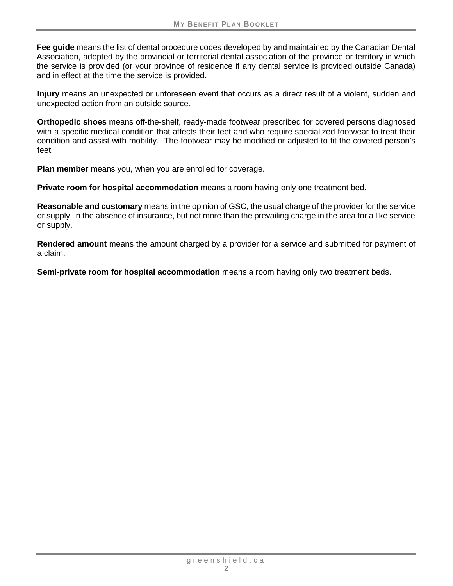<span id="page-6-1"></span>**Fee guide** means the list of dental procedure codes developed by and maintained by the Canadian Dental Association, adopted by the provincial or territorial dental association of the province or territory in which the service is provided (or your province of residence if any dental service is provided outside Canada) and in effect at the time the service is provided.

**Injury** means an unexpected or unforeseen event that occurs as a direct result of a violent, sudden and unexpected action from an outside source.

<span id="page-6-2"></span>**Orthopedic shoes** means off-the-shelf, ready-made footwear prescribed for covered persons diagnosed with a specific medical condition that affects their feet and who require specialized footwear to treat their condition and assist with mobility. The footwear may be modified or adjusted to fit the covered person's feet.

**Plan member** means you, when you are enrolled for coverage.

**Private room for hospital accommodation** means a room having only one treatment bed.

<span id="page-6-0"></span>**Reasonable and customary** means in the opinion of GSC, the usual charge of the provider for the service or supply, in the absence of insurance, but not more than the prevailing charge in the area for a like service or supply.

**Rendered amount** means the amount charged by a provider for a service and submitted for payment of a claim.

**Semi-private room for hospital accommodation** means a room having only two treatment beds.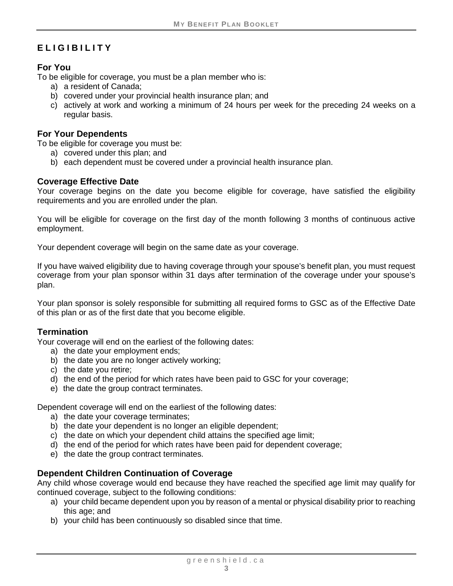# <span id="page-7-0"></span>**ELIGIBILITY**

#### <span id="page-7-1"></span>**For You**

To be eligible for coverage, you must be a plan member who is:

- a) a resident of Canada;
- b) covered under your provincial health insurance plan; and
- c) actively at work and working a minimum of 24 hours per week for the preceding 24 weeks on a regular basis.

#### <span id="page-7-2"></span>**For Your Dependents**

To be eligible for coverage you must be:

- a) covered under this plan; and
- b) each dependent must be covered under a provincial health insurance plan.

#### <span id="page-7-3"></span>**Coverage Effective Date**

Your coverage begins on the date you become eligible for coverage, have satisfied the eligibility requirements and you are enrolled under the plan.

You will be eligible for coverage on the first day of the month following 3 months of continuous active employment.

Your dependent coverage will begin on the same date as your coverage.

If you have waived eligibility due to having coverage through your spouse's benefit plan, you must request coverage from your plan sponsor within 31 days after termination of the coverage under your spouse's plan.

Your plan sponsor is solely responsible for submitting all required forms to GSC as of the Effective Date of this plan or as of the first date that you become eligible.

#### <span id="page-7-4"></span>**Termination**

Your coverage will end on the earliest of the following dates:

- a) the date your employment ends;
- b) the date you are no longer actively working;
- c) the date you retire;
- d) the end of the period for which rates have been paid to GSC for your coverage;
- e) the date the group contract terminates.

Dependent coverage will end on the earliest of the following dates:

- a) the date your coverage terminates;
- b) the date your dependent is no longer an eligible dependent;
- c) the date on which your dependent child attains the specified age limit;
- d) the end of the period for which rates have been paid for dependent coverage;
- e) the date the group contract terminates.

#### <span id="page-7-5"></span>**Dependent Children Continuation of Coverage**

Any child whose coverage would end because they have reached the specified age limit may qualify for continued coverage, subject to the following conditions:

- a) your child became dependent upon you by reason of a mental or physical disability prior to reaching this age; and
- b) your child has been continuously so disabled since that time.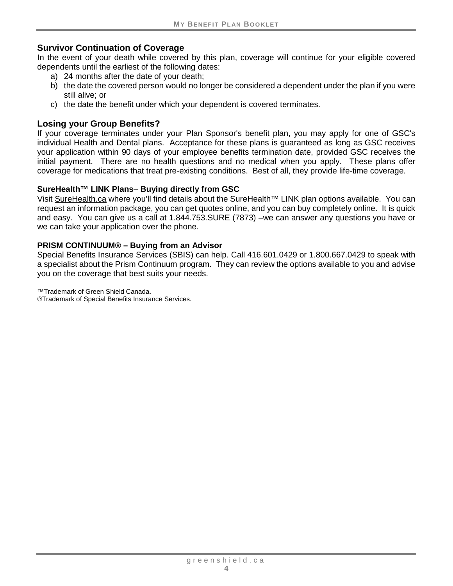## <span id="page-8-0"></span>**Survivor Continuation of Coverage**

In the event of your death while covered by this plan, coverage will continue for your eligible covered dependents until the earliest of the following dates:

- a) 24 months after the date of your death;
- b) the date the covered person would no longer be considered a dependent under the plan if you were still alive; or
- c) the date the benefit under which your dependent is covered terminates.

#### <span id="page-8-1"></span>**Losing your Group Benefits?**

If your coverage terminates under your Plan Sponsor's benefit plan, you may apply for one of GSC's individual Health and Dental plans. Acceptance for these plans is guaranteed as long as GSC receives your application within 90 days of your employee benefits termination date, provided GSC receives the initial payment. There are no health questions and no medical when you apply. These plans offer coverage for medications that treat pre-existing conditions. Best of all, they provide life-time coverage.

#### **SureHealth™ LINK Plans**– **Buying directly from GSC**

Visit [SureHealth.ca](http://surehealth.ca/) where you'll find details about the SureHealth™ LINK plan options available. You can request an information package, you can get quotes online, and you can buy completely online. It is quick and easy. You can give us a call at 1.844.753.SURE (7873) –we can answer any questions you have or we can take your application over the phone.

#### **PRISM CONTINUUM® – Buying from an Advisor**

Special Benefits Insurance Services (SBIS) can help. Call 416.601.0429 or 1.800.667.0429 to speak with a specialist about the Prism Continuum program. They can review the options available to you and advise you on the coverage that best suits your needs.

™Trademark of Green Shield Canada.

®Trademark of Special Benefits Insurance Services.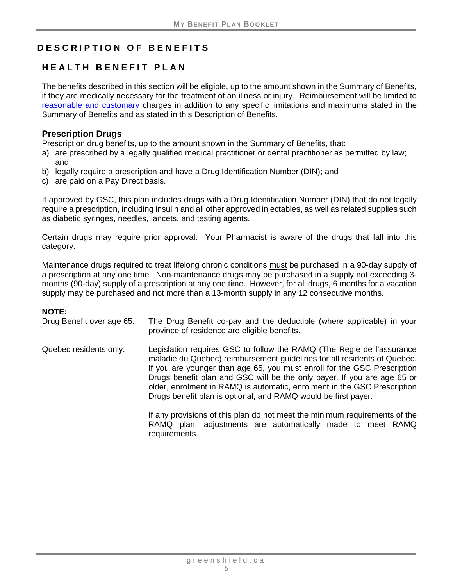# <span id="page-9-2"></span>**DESCRIPTION OF BENEFITS**

# <span id="page-9-0"></span>**HEALTH BENEFIT PLAN**

The benefits described in this section will be eligible, up to the amount shown in the Summary of Benefits, if they are medically necessary for the treatment of an illness or injury. Reimbursement will be limited to [reasonable and customary](#page-6-0) charges in addition to any specific limitations and maximums stated in the Summary of Benefits and as stated in this Description of Benefits.

# <span id="page-9-1"></span>**Prescription Drugs**

- Prescription drug benefits, up to the amount shown in the Summary of Benefits, that:
- a) are prescribed by a legally qualified medical practitioner or dental practitioner as permitted by law; and
- b) legally require a prescription and have a Drug Identification Number (DIN); and
- c) are paid on a Pay Direct basis.

If approved by GSC, this plan includes drugs with a Drug Identification Number (DIN) that do not legally require a prescription, including insulin and all other approved injectables, as well as related supplies such as diabetic syringes, needles, lancets, and testing agents.

Certain drugs may require prior approval. Your Pharmacist is aware of the drugs that fall into this category.

Maintenance drugs required to treat lifelong chronic conditions must be purchased in a 90-day supply of a prescription at any one time. Non-maintenance drugs may be purchased in a supply not exceeding 3 months (90-day) supply of a prescription at any one time. However, for all drugs, 6 months for a vacation supply may be purchased and not more than a 13-month supply in any 12 consecutive months.

#### **NOTE:**

| Drug Benefit over age 65: | The Drug Benefit co-pay and the deductible (where applicable) in your<br>province of residence are eligible benefits.                                                                                                                                                                                                                                                                                                                                  |
|---------------------------|--------------------------------------------------------------------------------------------------------------------------------------------------------------------------------------------------------------------------------------------------------------------------------------------------------------------------------------------------------------------------------------------------------------------------------------------------------|
| Quebec residents only:    | Legislation requires GSC to follow the RAMQ (The Regie de l'assurance<br>maladie du Quebec) reimbursement guidelines for all residents of Quebec.<br>If you are younger than age 65, you must enroll for the GSC Prescription<br>Drugs benefit plan and GSC will be the only payer. If you are age 65 or<br>older, enrolment in RAMQ is automatic, enrolment in the GSC Prescription<br>Drugs benefit plan is optional, and RAMQ would be first payer. |
|                           | If any provisions of this plan do not meet the minimum requirements of the<br>RAMQ plan, adjustments are automatically made to meet RAMQ                                                                                                                                                                                                                                                                                                               |

requirements.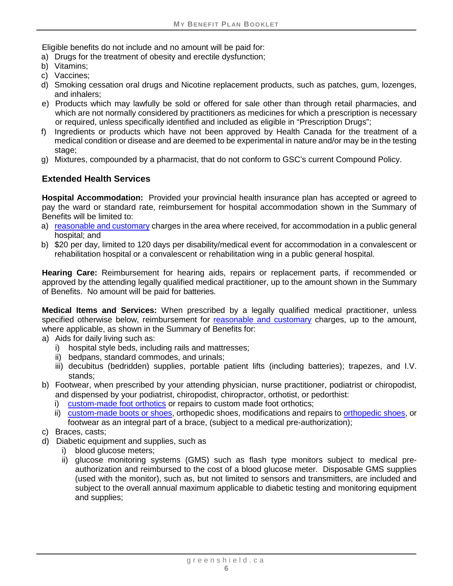Eligible benefits do not include and no amount will be paid for:

a) Drugs for the treatment of obesity and erectile dysfunction;

- b) Vitamins;
- c) Vaccines;
- d) Smoking cessation oral drugs and Nicotine replacement products, such as patches, gum, lozenges, and inhalers;
- e) Products which may lawfully be sold or offered for sale other than through retail pharmacies, and which are not normally considered by practitioners as medicines for which a prescription is necessary or required, unless specifically identified and included as eligible in "Prescription Drugs";
- f) Ingredients or products which have not been approved by Health Canada for the treatment of a medical condition or disease and are deemed to be experimental in nature and/or may be in the testing stage:
- g) Mixtures, compounded by a pharmacist, that do not conform to GSC's current Compound Policy.

# <span id="page-10-2"></span>**Extended Health Services**

**Hospital Accommodation:** Provided your provincial health insurance plan has accepted or agreed to pay the ward or standard rate, reimbursement for hospital accommodation shown in the Summary of Benefits will be limited to:

- a) [reasonable and customary](#page-6-0) charges in the area where received, for accommodation in a public general hospital; and
- b) \$20 per day, limited to 120 days per disability/medical event for accommodation in a convalescent or rehabilitation hospital or a convalescent or rehabilitation wing in a public general hospital.

<span id="page-10-0"></span>**Hearing Care:** Reimbursement for hearing aids, repairs or replacement parts, if recommended or approved by the attending legally qualified medical practitioner, up to the amount shown in the Summary of Benefits. No amount will be paid for batteries.

**Medical Items and Services:** When prescribed by a legally qualified medical practitioner, unless specified otherwise below, reimbursement for [reasonable and customary](file://WDOMNT1/SALESANDSERVICE/Plan%20Sponsor%20Services/C&B%20Projects/BOOKLETS%20-%20Summary%20+%20Description%20(BSY)/FINAL%20TOOL%20and%20Q&A%20Doc/BPB%20Tool%20-%202014.04.09%20-%20new%20mktg%20bullets%20&%20remove%202%20links.dotm#BSYRandC) charges, up to the amount, where applicable, as shown in the Summary of Benefits for:

- a) Aids for daily living such as:
	- i) hospital style beds, including rails and mattresses;
	- ii) bedpans, standard commodes, and urinals;
	- iii) decubitus (bedridden) supplies, portable patient lifts (including batteries); trapezes, and I.V. stands;
- <span id="page-10-1"></span>b) Footwear, when prescribed by your attending physician, nurse practitioner, podiatrist or chiropodist, and dispensed by your podiatrist, chiropodist, chiropractor, orthotist, or pedorthist:
	- i) [custom-made foot orthotics](#page-5-4) or repairs to custom made foot orthotics;
	- ii) [custom-made boots or shoes,](#page-5-5) orthopedic shoes, modifications and repairs to [orthopedic shoes,](#page-6-2) or footwear as an integral part of a brace, (subject to a medical pre-authorization);
- c) Braces, casts;
- d) Diabetic equipment and supplies, such as
	- i) blood glucose meters;
	- ii) glucose monitoring systems (GMS) such as flash type monitors subject to medical preauthorization and reimbursed to the cost of a blood glucose meter. Disposable GMS supplies (used with the monitor), such as, but not limited to sensors and transmitters, are included and subject to the overall annual maximum applicable to diabetic testing and monitoring equipment and supplies;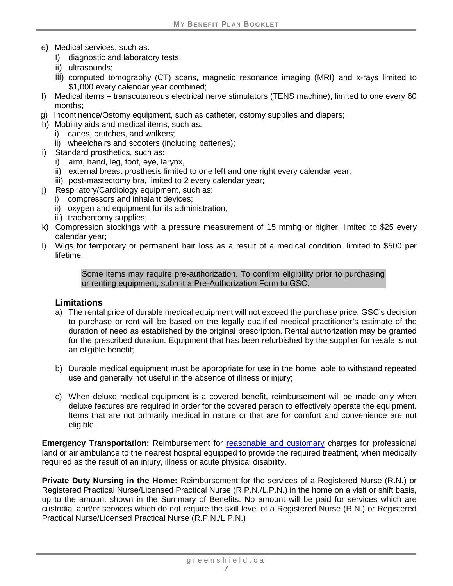- e) Medical services, such as:
	- i) diagnostic and laboratory tests;
	- ii) ultrasounds;
	- iii) computed tomography (CT) scans, magnetic resonance imaging (MRI) and x-rays limited to \$1,000 every calendar year combined;
- f) Medical items transcutaneous electrical nerve stimulators (TENS machine), limited to one every 60 months;
- g) Incontinence/Ostomy equipment, such as catheter, ostomy supplies and diapers;
- h) Mobility aids and medical items, such as:
	- i) canes, crutches, and walkers;
	- ii) wheelchairs and scooters (including batteries);
- i) Standard prosthetics, such as:
	- i) arm, hand, leg, foot, eye, larynx,
	- ii) external breast prosthesis limited to one left and one right every calendar year;
	- iii) post-mastectomy bra, limited to 2 every calendar year;
- j) Respiratory/Cardiology equipment, such as:
	- i) compressors and inhalant devices;
	- ii) oxygen and equipment for its administration:
	- iii) tracheotomy supplies;
- k) Compression stockings with a pressure measurement of 15 mmhg or higher, limited to \$25 every calendar year;
- l) Wigs for temporary or permanent hair loss as a result of a medical condition, limited to \$500 per lifetime.

Some items may require pre-authorization. To confirm eligibility prior to purchasing or renting equipment, submit a Pre-Authorization Form to GSC.

#### **Limitations**

- a) The rental price of durable medical equipment will not exceed the purchase price. GSC's decision to purchase or rent will be based on the legally qualified medical practitioner's estimate of the duration of need as established by the original prescription. Rental authorization may be granted for the prescribed duration. Equipment that has been refurbished by the supplier for resale is not an eligible benefit;
- b) Durable medical equipment must be appropriate for use in the home, able to withstand repeated use and generally not useful in the absence of illness or injury;
- c) When deluxe medical equipment is a covered benefit, reimbursement will be made only when deluxe features are required in order for the covered person to effectively operate the equipment. Items that are not primarily medical in nature or that are for comfort and convenience are not eligible.

**Emergency Transportation:** Reimbursement for [reasonable and customary](#page-6-0) charges for professional land or air ambulance to the nearest hospital equipped to provide the required treatment, when medically required as the result of an injury, illness or acute physical disability.

<span id="page-11-0"></span>**Private Duty Nursing in the Home:** Reimbursement for the services of a Registered Nurse (R.N.) or Registered Practical Nurse/Licensed Practical Nurse (R.P.N./L.P.N.) in the home on a visit or shift basis, up to the amount shown in the Summary of Benefits. No amount will be paid for services which are custodial and/or services which do not require the skill level of a Registered Nurse (R.N.) or Registered Practical Nurse/Licensed Practical Nurse (R.P.N./L.P.N.)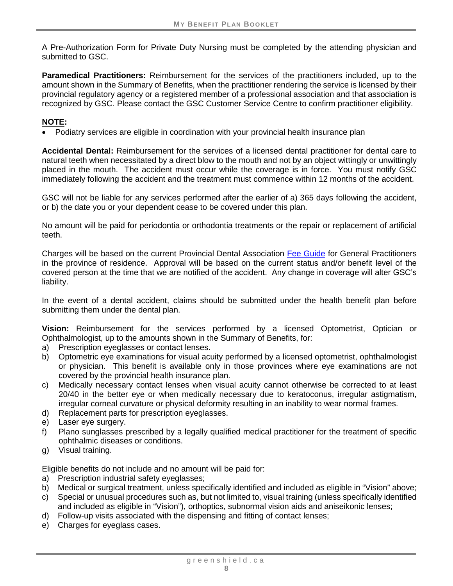A Pre-Authorization Form for Private Duty Nursing must be completed by the attending physician and submitted to GSC.

<span id="page-12-0"></span>**Paramedical Practitioners:** Reimbursement for the services of the practitioners included, up to the amount shown in the Summary of Benefits, when the practitioner rendering the service is licensed by their provincial regulatory agency or a registered member of a professional association and that association is recognized by GSC. Please contact the GSC Customer Service Centre to confirm practitioner eligibility.

#### **NOTE:**

• Podiatry services are eligible in coordination with your provincial health insurance plan

**Accidental Dental:** Reimbursement for the services of a licensed dental practitioner for dental care to natural teeth when necessitated by a direct blow to the mouth and not by an object wittingly or unwittingly placed in the mouth. The accident must occur while the coverage is in force. You must notify GSC immediately following the accident and the treatment must commence within 12 months of the accident.

GSC will not be liable for any services performed after the earlier of a) 365 days following the accident, or b) the date you or your dependent cease to be covered under this plan.

No amount will be paid for periodontia or orthodontia treatments or the repair or replacement of artificial teeth.

Charges will be based on the current Provincial Dental Association [Fee Guide](#page-6-1) for General Practitioners in the province of residence. Approval will be based on the current status and/or benefit level of the covered person at the time that we are notified of the accident. Any change in coverage will alter GSC's liability.

In the event of a dental accident, claims should be submitted under the health benefit plan before submitting them under the dental plan.

<span id="page-12-1"></span>**Vision:** Reimbursement for the services performed by a licensed Optometrist, Optician or Ophthalmologist, up to the amounts shown in the Summary of Benefits, for:

- a) Prescription eyeglasses or contact lenses.
- b) Optometric eye examinations for visual acuity performed by a licensed optometrist, ophthalmologist or physician. This benefit is available only in those provinces where eye examinations are not covered by the provincial health insurance plan.
- c) Medically necessary contact lenses when visual acuity cannot otherwise be corrected to at least 20/40 in the better eye or when medically necessary due to keratoconus, irregular astigmatism, irregular corneal curvature or physical deformity resulting in an inability to wear normal frames.
- d) Replacement parts for prescription eyeglasses.
- e) Laser eye surgery.
- f) Plano sunglasses prescribed by a legally qualified medical practitioner for the treatment of specific ophthalmic diseases or conditions.
- g) Visual training.

Eligible benefits do not include and no amount will be paid for:

- a) Prescription industrial safety eyeglasses;
- b) Medical or surgical treatment, unless specifically identified and included as eligible in "Vision" above;
- c) Special or unusual procedures such as, but not limited to, visual training (unless specifically identified and included as eligible in "Vision"), orthoptics, subnormal vision aids and aniseikonic lenses;
- d) Follow-up visits associated with the dispensing and fitting of contact lenses;
- e) Charges for eyeglass cases.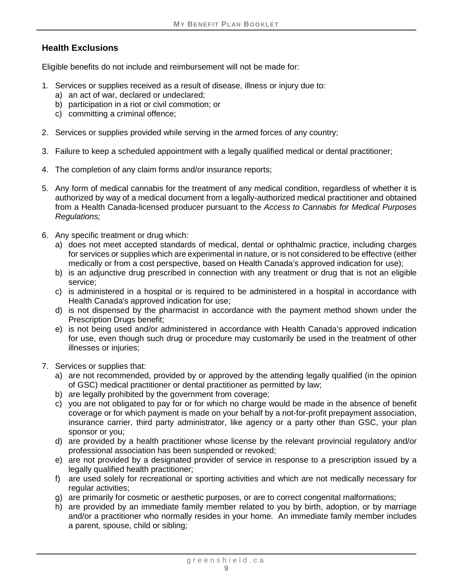# **Health Exclusions**

Eligible benefits do not include and reimbursement will not be made for:

- 1. Services or supplies received as a result of disease, illness or injury due to:
	- a) an act of war, declared or undeclared;
	- b) participation in a riot or civil commotion; or
	- c) committing a criminal offence;
- 2. Services or supplies provided while serving in the armed forces of any country;
- 3. Failure to keep a scheduled appointment with a legally qualified medical or dental practitioner;
- 4. The completion of any claim forms and/or insurance reports;
- 5. Any form of medical cannabis for the treatment of any medical condition, regardless of whether it is authorized by way of a medical document from a legally-authorized medical practitioner and obtained from a Health Canada-licensed producer pursuant to the *Access to Cannabis for Medical Purposes Regulations;*
- 6. Any specific treatment or drug which:
	- a) does not meet accepted standards of medical, dental or ophthalmic practice, including charges for services or supplies which are experimental in nature, or is not considered to be effective (either medically or from a cost perspective, based on Health Canada's approved indication for use);
	- b) is an adjunctive drug prescribed in connection with any treatment or drug that is not an eligible service;
	- c) is administered in a hospital or is required to be administered in a hospital in accordance with Health Canada's approved indication for use;
	- d) is not dispensed by the pharmacist in accordance with the payment method shown under the Prescription Drugs benefit;
	- e) is not being used and/or administered in accordance with Health Canada's approved indication for use, even though such drug or procedure may customarily be used in the treatment of other illnesses or injuries;
- 7. Services or supplies that:
	- a) are not recommended, provided by or approved by the attending legally qualified (in the opinion of GSC) medical practitioner or dental practitioner as permitted by law;
	- b) are legally prohibited by the government from coverage;
	- c) you are not obligated to pay for or for which no charge would be made in the absence of benefit coverage or for which payment is made on your behalf by a not-for-profit prepayment association, insurance carrier, third party administrator, like agency or a party other than GSC, your plan sponsor or you;
	- d) are provided by a health practitioner whose license by the relevant provincial regulatory and/or professional association has been suspended or revoked;
	- e) are not provided by a designated provider of service in response to a prescription issued by a legally qualified health practitioner;
	- f) are used solely for recreational or sporting activities and which are not medically necessary for regular activities;
	- g) are primarily for cosmetic or aesthetic purposes, or are to correct congenital malformations;
	- h) are provided by an immediate family member related to you by birth, adoption, or by marriage and/or a practitioner who normally resides in your home. An immediate family member includes a parent, spouse, child or sibling;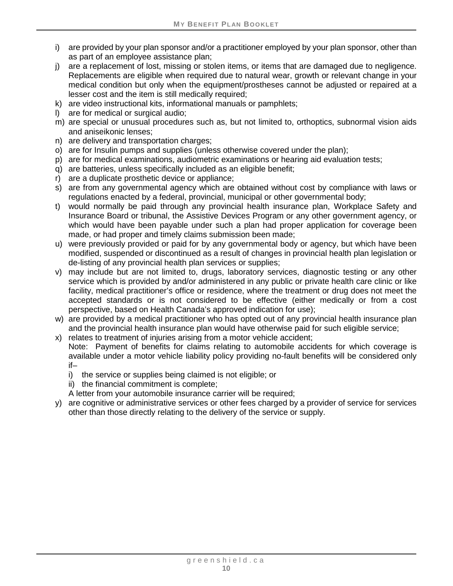- i) are provided by your plan sponsor and/or a practitioner employed by your plan sponsor, other than as part of an employee assistance plan;
- j) are a replacement of lost, missing or stolen items, or items that are damaged due to negligence. Replacements are eligible when required due to natural wear, growth or relevant change in your medical condition but only when the equipment/prostheses cannot be adjusted or repaired at a lesser cost and the item is still medically required;
- k) are video instructional kits, informational manuals or pamphlets;
- l) are for medical or surgical audio;
- m) are special or unusual procedures such as, but not limited to, orthoptics, subnormal vision aids and aniseikonic lenses;
- n) are delivery and transportation charges;
- o) are for Insulin pumps and supplies (unless otherwise covered under the plan);
- p) are for medical examinations, audiometric examinations or hearing aid evaluation tests;
- q) are batteries, unless specifically included as an eligible benefit;
- r) are a duplicate prosthetic device or appliance;
- s) are from any governmental agency which are obtained without cost by compliance with laws or regulations enacted by a federal, provincial, municipal or other governmental body;
- t) would normally be paid through any provincial health insurance plan, Workplace Safety and Insurance Board or tribunal, the Assistive Devices Program or any other government agency, or which would have been payable under such a plan had proper application for coverage been made, or had proper and timely claims submission been made;
- u) were previously provided or paid for by any governmental body or agency, but which have been modified, suspended or discontinued as a result of changes in provincial health plan legislation or de-listing of any provincial health plan services or supplies;
- v) may include but are not limited to, drugs, laboratory services, diagnostic testing or any other service which is provided by and/or administered in any public or private health care clinic or like facility, medical practitioner's office or residence, where the treatment or drug does not meet the accepted standards or is not considered to be effective (either medically or from a cost perspective, based on Health Canada's approved indication for use);
- w) are provided by a medical practitioner who has opted out of any provincial health insurance plan and the provincial health insurance plan would have otherwise paid for such eligible service;
- x) relates to treatment of injuries arising from a motor vehicle accident; Note: Payment of benefits for claims relating to automobile accidents for which coverage is available under a motor vehicle liability policy providing no-fault benefits will be considered only if–
	- i) the service or supplies being claimed is not eligible; or
	- ii) the financial commitment is complete;
	- A letter from your automobile insurance carrier will be required;
- y) are cognitive or administrative services or other fees charged by a provider of service for services other than those directly relating to the delivery of the service or supply.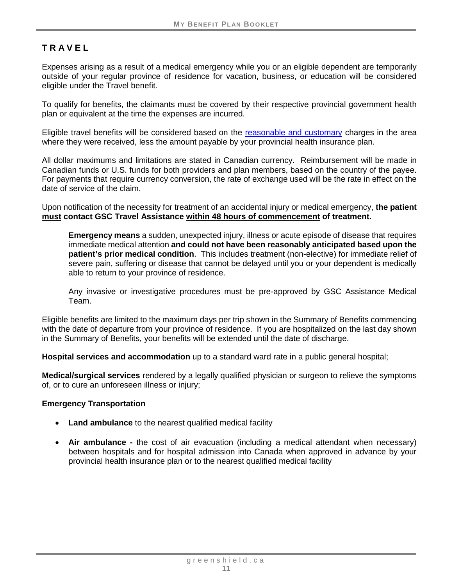# <span id="page-15-0"></span>**TRAVEL**

Expenses arising as a result of a medical emergency while you or an eligible dependent are temporarily outside of your regular province of residence for vacation, business, or education will be considered eligible under the Travel benefit.

To qualify for benefits, the claimants must be covered by their respective provincial government health plan or equivalent at the time the expenses are incurred.

Eligible travel benefits will be considered based on the [reasonable and customary](#page-6-0) charges in the area where they were received, less the amount payable by your provincial health insurance plan.

All dollar maximums and limitations are stated in Canadian currency. Reimbursement will be made in Canadian funds or U.S. funds for both providers and plan members, based on the country of the payee. For payments that require currency conversion, the rate of exchange used will be the rate in effect on the date of service of the claim.

Upon notification of the necessity for treatment of an accidental injury or medical emergency, **the patient must contact GSC Travel Assistance within 48 hours of commencement of treatment.**

**Emergency means** a sudden, unexpected injury, illness or acute episode of disease that requires immediate medical attention **and could not have been reasonably anticipated based upon the patient's prior medical condition**. This includes treatment (non-elective) for immediate relief of severe pain, suffering or disease that cannot be delayed until you or your dependent is medically able to return to your province of residence.

Any invasive or investigative procedures must be pre-approved by GSC Assistance Medical Team.

Eligible benefits are limited to the maximum days per trip shown in the Summary of Benefits commencing with the date of departure from your province of residence. If you are hospitalized on the last day shown in the Summary of Benefits, your benefits will be extended until the date of discharge.

**Hospital services and accommodation** up to a standard ward rate in a public general hospital;

**Medical/surgical services** rendered by a legally qualified physician or surgeon to relieve the symptoms of, or to cure an unforeseen illness or injury;

#### **Emergency Transportation**

- **Land ambulance** to the nearest qualified medical facility
- **Air ambulance -** the cost of air evacuation (including a medical attendant when necessary) between hospitals and for hospital admission into Canada when approved in advance by your provincial health insurance plan or to the nearest qualified medical facility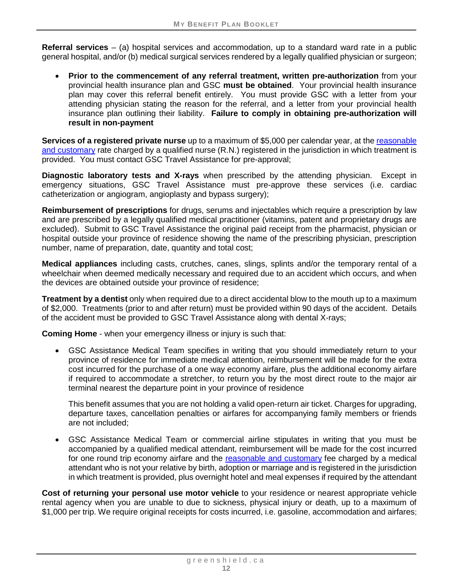<span id="page-16-0"></span>**Referral services** – (a) hospital services and accommodation, up to a standard ward rate in a public general hospital, and/or (b) medical surgical services rendered by a legally qualified physician or surgeon;

• **Prior to the commencement of any referral treatment, written pre-authorization** from your provincial health insurance plan and GSC **must be obtained**. Your provincial health insurance plan may cover this referral benefit entirely. You must provide GSC with a letter from your attending physician stating the reason for the referral, and a letter from your provincial health insurance plan outlining their liability. **Failure to comply in obtaining pre-authorization will result in non-payment**

**Services of a registered private nurse** up to a maximum of \$5,000 per calendar year, at the [reasonable](#page-6-0)  [and customary](#page-6-0) rate charged by a qualified nurse (R.N.) registered in the jurisdiction in which treatment is provided. You must contact GSC Travel Assistance for pre-approval;

**Diagnostic laboratory tests and X-rays** when prescribed by the attending physician. Except in emergency situations, GSC Travel Assistance must pre-approve these services (i.e. cardiac catheterization or angiogram, angioplasty and bypass surgery);

**Reimbursement of prescriptions** for drugs, serums and injectables which require a prescription by law and are prescribed by a legally qualified medical practitioner (vitamins, patent and proprietary drugs are excluded). Submit to GSC Travel Assistance the original paid receipt from the pharmacist, physician or hospital outside your province of residence showing the name of the prescribing physician, prescription number, name of preparation, date, quantity and total cost;

**Medical appliances** including casts, crutches, canes, slings, splints and/or the temporary rental of a wheelchair when deemed medically necessary and required due to an accident which occurs, and when the devices are obtained outside your province of residence;

**Treatment by a dentist** only when required due to a direct accidental blow to the mouth up to a maximum of \$2,000. Treatments (prior to and after return) must be provided within 90 days of the accident. Details of the accident must be provided to GSC Travel Assistance along with dental X-rays;

**Coming Home** - when your emergency illness or injury is such that:

• GSC Assistance Medical Team specifies in writing that you should immediately return to your province of residence for immediate medical attention, reimbursement will be made for the extra cost incurred for the purchase of a one way economy airfare, plus the additional economy airfare if required to accommodate a stretcher, to return you by the most direct route to the major air terminal nearest the departure point in your province of residence

This benefit assumes that you are not holding a valid open-return air ticket. Charges for upgrading, departure taxes, cancellation penalties or airfares for accompanying family members or friends are not included;

• GSC Assistance Medical Team or commercial airline stipulates in writing that you must be accompanied by a qualified medical attendant, reimbursement will be made for the cost incurred for one round trip economy airfare and the [reasonable and customary](#page-6-0) fee charged by a medical attendant who is not your relative by birth, adoption or marriage and is registered in the jurisdiction in which treatment is provided, plus overnight hotel and meal expenses if required by the attendant

**Cost of returning your personal use motor vehicle** to your residence or nearest appropriate vehicle rental agency when you are unable to due to sickness, physical injury or death, up to a maximum of \$1,000 per trip. We require original receipts for costs incurred, i.e. gasoline, accommodation and airfares;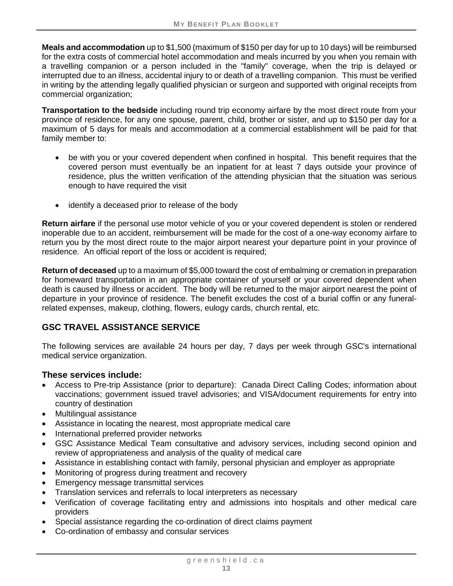**Meals and accommodation** up to \$1,500 (maximum of \$150 per day for up to 10 days) will be reimbursed for the extra costs of commercial hotel accommodation and meals incurred by you when you remain with a travelling companion or a person included in the "family" coverage, when the trip is delayed or interrupted due to an illness, accidental injury to or death of a travelling companion. This must be verified in writing by the attending legally qualified physician or surgeon and supported with original receipts from commercial organization;

**Transportation to the bedside** including round trip economy airfare by the most direct route from your province of residence, for any one spouse, parent, child, brother or sister, and up to \$150 per day for a maximum of 5 days for meals and accommodation at a commercial establishment will be paid for that family member to:

- be with you or your covered dependent when confined in hospital. This benefit requires that the covered person must eventually be an inpatient for at least 7 days outside your province of residence, plus the written verification of the attending physician that the situation was serious enough to have required the visit
- identify a deceased prior to release of the body

**Return airfare** if the personal use motor vehicle of you or your covered dependent is stolen or rendered inoperable due to an accident, reimbursement will be made for the cost of a one-way economy airfare to return you by the most direct route to the major airport nearest your departure point in your province of residence. An official report of the loss or accident is required;

**Return of deceased** up to a maximum of \$5,000 toward the cost of embalming or cremation in preparation for homeward transportation in an appropriate container of yourself or your covered dependent when death is caused by illness or accident. The body will be returned to the major airport nearest the point of departure in your province of residence. The benefit excludes the cost of a burial coffin or any funeralrelated expenses, makeup, clothing, flowers, eulogy cards, church rental, etc.

# **GSC TRAVEL ASSISTANCE SERVICE**

The following services are available 24 hours per day, 7 days per week through GSC's international medical service organization.

# **These services include:**

- Access to Pre-trip Assistance (prior to departure): Canada Direct Calling Codes; information about vaccinations; government issued travel advisories; and VISA/document requirements for entry into country of destination
- Multilingual assistance
- Assistance in locating the nearest, most appropriate medical care
- International preferred provider networks
- GSC Assistance Medical Team consultative and advisory services, including second opinion and review of appropriateness and analysis of the quality of medical care
- Assistance in establishing contact with family, personal physician and employer as appropriate
- Monitoring of progress during treatment and recovery
- Emergency message transmittal services
- Translation services and referrals to local interpreters as necessary
- Verification of coverage facilitating entry and admissions into hospitals and other medical care providers
- Special assistance regarding the co-ordination of direct claims payment
- Co-ordination of embassy and consular services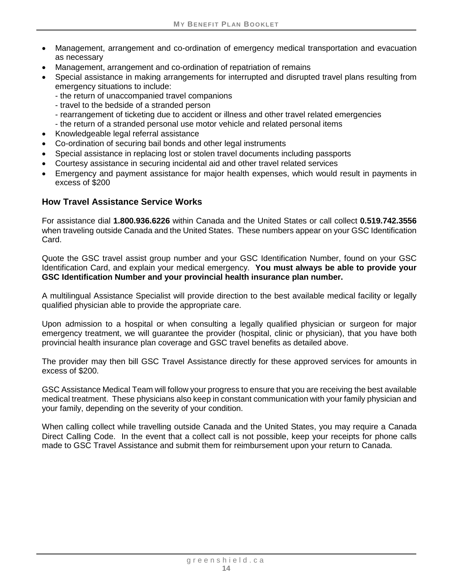- Management, arrangement and co-ordination of emergency medical transportation and evacuation as necessary
- Management, arrangement and co-ordination of repatriation of remains
- Special assistance in making arrangements for interrupted and disrupted travel plans resulting from emergency situations to include:
	- the return of unaccompanied travel companions
	- travel to the bedside of a stranded person
	- rearrangement of ticketing due to accident or illness and other travel related emergencies
	- the return of a stranded personal use motor vehicle and related personal items
- Knowledgeable legal referral assistance
- Co-ordination of securing bail bonds and other legal instruments
- Special assistance in replacing lost or stolen travel documents including passports
- Courtesy assistance in securing incidental aid and other travel related services
- Emergency and payment assistance for major health expenses, which would result in payments in excess of \$200

#### **How Travel Assistance Service Works**

For assistance dial **1.800.936.6226** within Canada and the United States or call collect **0.519.742.3556**  when traveling outside Canada and the United States. These numbers appear on your GSC Identification Card.

Quote the GSC travel assist group number and your GSC Identification Number, found on your GSC Identification Card, and explain your medical emergency. **You must always be able to provide your GSC Identification Number and your provincial health insurance plan number.**

A multilingual Assistance Specialist will provide direction to the best available medical facility or legally qualified physician able to provide the appropriate care.

Upon admission to a hospital or when consulting a legally qualified physician or surgeon for major emergency treatment, we will guarantee the provider (hospital, clinic or physician), that you have both provincial health insurance plan coverage and GSC travel benefits as detailed above.

The provider may then bill GSC Travel Assistance directly for these approved services for amounts in excess of \$200.

GSC Assistance Medical Team will follow your progress to ensure that you are receiving the best available medical treatment. These physicians also keep in constant communication with your family physician and your family, depending on the severity of your condition.

When calling collect while travelling outside Canada and the United States, you may require a Canada Direct Calling Code. In the event that a collect call is not possible, keep your receipts for phone calls made to GSC Travel Assistance and submit them for reimbursement upon your return to Canada.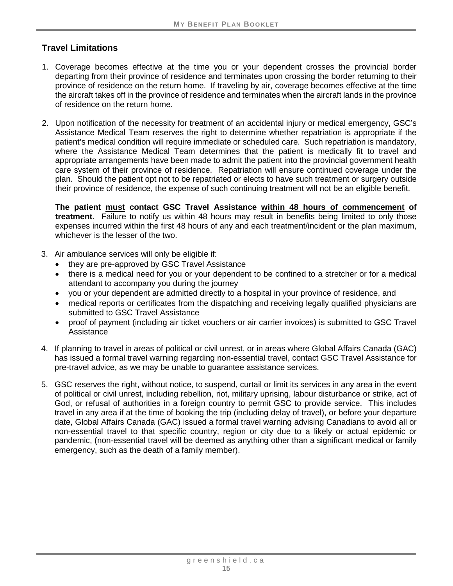# **Travel Limitations**

- 1. Coverage becomes effective at the time you or your dependent crosses the provincial border departing from their province of residence and terminates upon crossing the border returning to their province of residence on the return home. If traveling by air, coverage becomes effective at the time the aircraft takes off in the province of residence and terminates when the aircraft lands in the province of residence on the return home.
- 2. Upon notification of the necessity for treatment of an accidental injury or medical emergency, GSC's Assistance Medical Team reserves the right to determine whether repatriation is appropriate if the patient's medical condition will require immediate or scheduled care. Such repatriation is mandatory, where the Assistance Medical Team determines that the patient is medically fit to travel and appropriate arrangements have been made to admit the patient into the provincial government health care system of their province of residence. Repatriation will ensure continued coverage under the plan. Should the patient opt not to be repatriated or elects to have such treatment or surgery outside their province of residence, the expense of such continuing treatment will not be an eligible benefit.

**The patient must contact GSC Travel Assistance within 48 hours of commencement of treatment**. Failure to notify us within 48 hours may result in benefits being limited to only those expenses incurred within the first 48 hours of any and each treatment/incident or the plan maximum, whichever is the lesser of the two.

- 3. Air ambulance services will only be eligible if:
	- they are pre-approved by GSC Travel Assistance
	- there is a medical need for you or your dependent to be confined to a stretcher or for a medical attendant to accompany you during the journey
	- you or your dependent are admitted directly to a hospital in your province of residence, and
	- medical reports or certificates from the dispatching and receiving legally qualified physicians are submitted to GSC Travel Assistance
	- proof of payment (including air ticket vouchers or air carrier invoices) is submitted to GSC Travel Assistance
- 4. If planning to travel in areas of political or civil unrest, or in areas where Global Affairs Canada (GAC) has issued a formal travel warning regarding non-essential travel, contact GSC Travel Assistance for pre-travel advice, as we may be unable to guarantee assistance services.
- 5. GSC reserves the right, without notice, to suspend, curtail or limit its services in any area in the event of political or civil unrest, including rebellion, riot, military uprising, labour disturbance or strike, act of God, or refusal of authorities in a foreign country to permit GSC to provide service. This includes travel in any area if at the time of booking the trip (including delay of travel), or before your departure date, Global Affairs Canada (GAC) issued a formal travel warning advising Canadians to avoid all or non-essential travel to that specific country, region or city due to a likely or actual epidemic or pandemic, (non-essential travel will be deemed as anything other than a significant medical or family emergency, such as the death of a family member).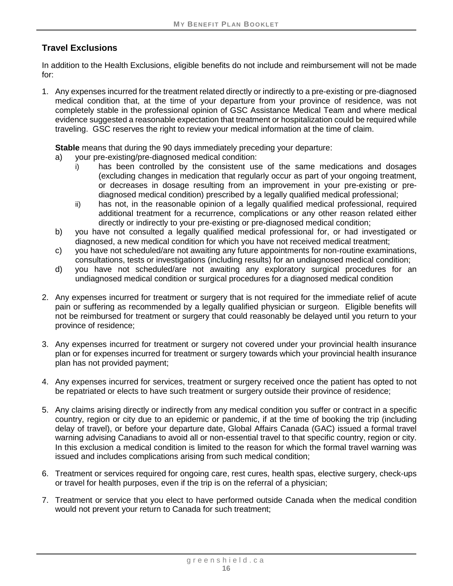# **Travel Exclusions**

In addition to the Health Exclusions, eligible benefits do not include and reimbursement will not be made for:

1. Any expenses incurred for the treatment related directly or indirectly to a pre-existing or pre-diagnosed medical condition that, at the time of your departure from your province of residence, was not completely stable in the professional opinion of GSC Assistance Medical Team and where medical evidence suggested a reasonable expectation that treatment or hospitalization could be required while traveling. GSC reserves the right to review your medical information at the time of claim.

**Stable** means that during the 90 days immediately preceding your departure:

- a) your pre-existing/pre-diagnosed medical condition:
	- i) has been controlled by the consistent use of the same medications and dosages (excluding changes in medication that regularly occur as part of your ongoing treatment, or decreases in dosage resulting from an improvement in your pre-existing or prediagnosed medical condition) prescribed by a legally qualified medical professional;
	- ii) has not, in the reasonable opinion of a legally qualified medical professional, required additional treatment for a recurrence, complications or any other reason related either directly or indirectly to your pre-existing or pre-diagnosed medical condition;
- b) you have not consulted a legally qualified medical professional for, or had investigated or diagnosed, a new medical condition for which you have not received medical treatment;
- c) you have not scheduled/are not awaiting any future appointments for non-routine examinations, consultations, tests or investigations (including results) for an undiagnosed medical condition;
- d) you have not scheduled/are not awaiting any exploratory surgical procedures for an undiagnosed medical condition or surgical procedures for a diagnosed medical condition
- 2. Any expenses incurred for treatment or surgery that is not required for the immediate relief of acute pain or suffering as recommended by a legally qualified physician or surgeon. Eligible benefits will not be reimbursed for treatment or surgery that could reasonably be delayed until you return to your province of residence;
- 3. Any expenses incurred for treatment or surgery not covered under your provincial health insurance plan or for expenses incurred for treatment or surgery towards which your provincial health insurance plan has not provided payment;
- 4. Any expenses incurred for services, treatment or surgery received once the patient has opted to not be repatriated or elects to have such treatment or surgery outside their province of residence;
- 5. Any claims arising directly or indirectly from any medical condition you suffer or contract in a specific country, region or city due to an epidemic or pandemic, if at the time of booking the trip (including delay of travel), or before your departure date, Global Affairs Canada (GAC) issued a formal travel warning advising Canadians to avoid all or non-essential travel to that specific country, region or city. In this exclusion a medical condition is limited to the reason for which the formal travel warning was issued and includes complications arising from such medical condition;
- 6. Treatment or services required for ongoing care, rest cures, health spas, elective surgery, check-ups or travel for health purposes, even if the trip is on the referral of a physician;
- 7. Treatment or service that you elect to have performed outside Canada when the medical condition would not prevent your return to Canada for such treatment;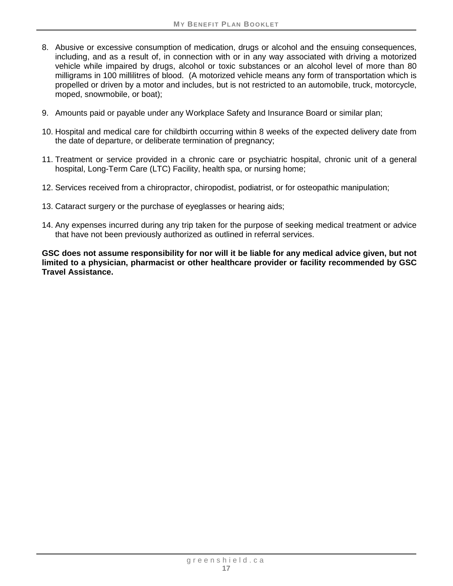- 8. Abusive or excessive consumption of medication, drugs or alcohol and the ensuing consequences, including, and as a result of, in connection with or in any way associated with driving a motorized vehicle while impaired by drugs, alcohol or toxic substances or an alcohol level of more than 80 milligrams in 100 millilitres of blood. (A motorized vehicle means any form of transportation which is propelled or driven by a motor and includes, but is not restricted to an automobile, truck, motorcycle, moped, snowmobile, or boat);
- 9. Amounts paid or payable under any Workplace Safety and Insurance Board or similar plan;
- 10. Hospital and medical care for childbirth occurring within 8 weeks of the expected delivery date from the date of departure, or deliberate termination of pregnancy;
- 11. Treatment or service provided in a chronic care or psychiatric hospital, chronic unit of a general hospital, Long-Term Care (LTC) Facility, health spa, or nursing home;
- 12. Services received from a chiropractor, chiropodist, podiatrist, or for osteopathic manipulation;
- 13. Cataract surgery or the purchase of eyeglasses or hearing aids;
- 14. Any expenses incurred during any trip taken for the purpose of seeking medical treatment or advice that have not been previously authorized as outlined in referral services.

**GSC does not assume responsibility for nor will it be liable for any medical advice given, but not limited to a physician, pharmacist or other healthcare provider or facility recommended by GSC Travel Assistance.**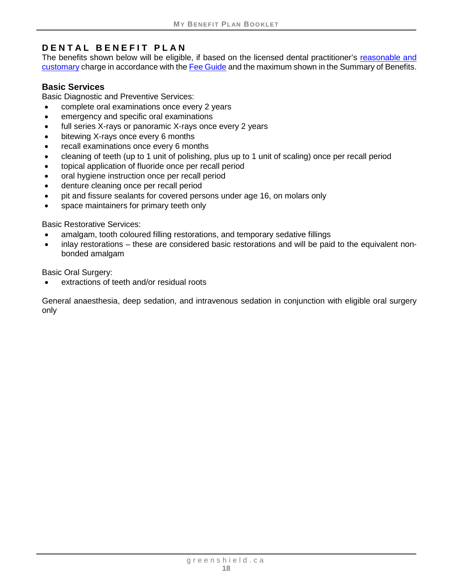# <span id="page-22-0"></span>**DENTAL BENEFIT PLAN**

The benefits shown below will be eligible, if based on the licensed dental practitioner's reasonable and [customary](#page-6-0) charge in accordance with th[e Fee Guide](#page-6-1) and the maximum shown in the Summary of Benefits.

#### <span id="page-22-1"></span>**Basic Services**

Basic Diagnostic and Preventive Services:

- complete oral examinations once every 2 years
- emergency and specific oral examinations
- full series X-rays or panoramic X-rays once every 2 years
- bitewing X-rays once every 6 months
- recall examinations once every 6 months
- cleaning of teeth (up to 1 unit of polishing, plus up to 1 unit of scaling) once per recall period
- topical application of fluoride once per recall period
- oral hygiene instruction once per recall period
- denture cleaning once per recall period
- pit and fissure sealants for covered persons under age 16, on molars only
- space maintainers for primary teeth only

Basic Restorative Services:

- amalgam, tooth coloured filling restorations, and temporary sedative fillings
- inlay restorations these are considered basic restorations and will be paid to the equivalent nonbonded amalgam

Basic Oral Surgery:

extractions of teeth and/or residual roots

General anaesthesia, deep sedation, and intravenous sedation in conjunction with eligible oral surgery only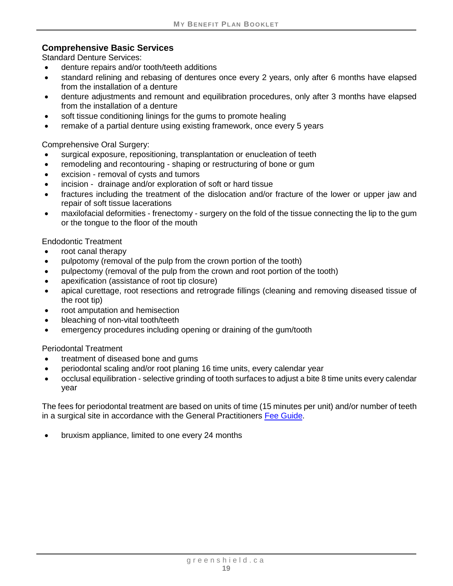#### <span id="page-23-0"></span>**Comprehensive Basic Services**

Standard Denture Services:

- denture repairs and/or tooth/teeth additions
- standard relining and rebasing of dentures once every 2 years, only after 6 months have elapsed from the installation of a denture
- denture adjustments and remount and equilibration procedures, only after 3 months have elapsed from the installation of a denture
- soft tissue conditioning linings for the gums to promote healing
- remake of a partial denture using existing framework, once every 5 years

Comprehensive Oral Surgery:

- surgical exposure, repositioning, transplantation or enucleation of teeth
- remodeling and recontouring shaping or restructuring of bone or gum
- excision removal of cysts and tumors
- incision drainage and/or exploration of soft or hard tissue
- fractures including the treatment of the dislocation and/or fracture of the lower or upper jaw and repair of soft tissue lacerations
- maxilofacial deformities frenectomy surgery on the fold of the tissue connecting the lip to the gum or the tongue to the floor of the mouth

Endodontic Treatment

- root canal therapy
- pulpotomy (removal of the pulp from the crown portion of the tooth)
- pulpectomy (removal of the pulp from the crown and root portion of the tooth)
- apexification (assistance of root tip closure)
- apical curettage, root resections and retrograde fillings (cleaning and removing diseased tissue of the root tip)
- root amputation and hemisection
- bleaching of non-vital tooth/teeth
- emergency procedures including opening or draining of the gum/tooth

Periodontal Treatment

- treatment of diseased bone and gums
- periodontal scaling and/or root planing 16 time units, every calendar year
- occlusal equilibration selective grinding of tooth surfaces to adjust a bite 8 time units every calendar year

The fees for periodontal treatment are based on units of time (15 minutes per unit) and/or number of teeth in a surgical site in accordance with the General Practitioners [Fee Guide.](#page-6-1)

• bruxism appliance, limited to one every 24 months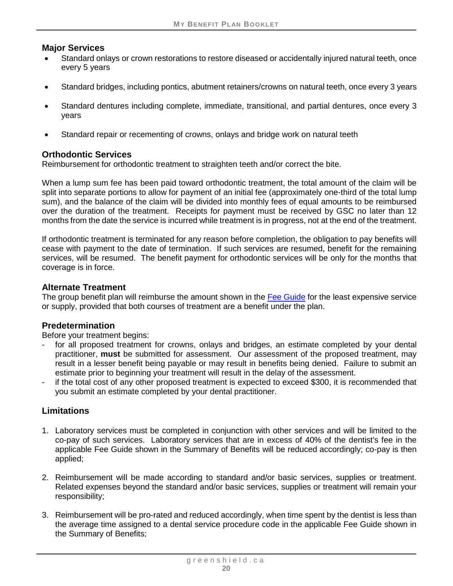#### <span id="page-24-0"></span>**Major Services**

- Standard onlays or crown restorations to restore diseased or accidentally injured natural teeth, once every 5 years
- Standard bridges, including pontics, abutment retainers/crowns on natural teeth, once every 3 years
- Standard dentures including complete, immediate, transitional, and partial dentures, once every 3 years
- Standard repair or recementing of crowns, onlays and bridge work on natural teeth

# <span id="page-24-1"></span>**Orthodontic Services**

Reimbursement for orthodontic treatment to straighten teeth and/or correct the bite.

When a lump sum fee has been paid toward orthodontic treatment, the total amount of the claim will be split into separate portions to allow for payment of an initial fee (approximately one-third of the total lump sum), and the balance of the claim will be divided into monthly fees of equal amounts to be reimbursed over the duration of the treatment. Receipts for payment must be received by GSC no later than 12 months from the date the service is incurred while treatment is in progress, not at the end of the treatment.

If orthodontic treatment is terminated for any reason before completion, the obligation to pay benefits will cease with payment to the date of termination. If such services are resumed, benefit for the remaining services, will be resumed. The benefit payment for orthodontic services will be only for the months that coverage is in force.

#### **Alternate Treatment**

The group benefit plan will reimburse the amount shown in the [Fee Guide](#page-6-1) for the least expensive service or supply, provided that both courses of treatment are a benefit under the plan.

# **Predetermination**

Before your treatment begins:

- for all proposed treatment for crowns, onlays and bridges, an estimate completed by your dental practitioner, **must** be submitted for assessment. Our assessment of the proposed treatment, may result in a lesser benefit being payable or may result in benefits being denied. Failure to submit an estimate prior to beginning your treatment will result in the delay of the assessment.
- if the total cost of any other proposed treatment is expected to exceed \$300, it is recommended that you submit an estimate completed by your dental practitioner.

# **Limitations**

- 1. Laboratory services must be completed in conjunction with other services and will be limited to the co-pay of such services. Laboratory services that are in excess of 40% of the dentist's fee in the applicable Fee Guide shown in the Summary of Benefits will be reduced accordingly; co-pay is then applied;
- 2. Reimbursement will be made according to standard and/or basic services, supplies or treatment. Related expenses beyond the standard and/or basic services, supplies or treatment will remain your responsibility;
- 3. Reimbursement will be pro-rated and reduced accordingly, when time spent by the dentist is less than the average time assigned to a dental service procedure code in the applicable Fee Guide shown in the Summary of Benefits;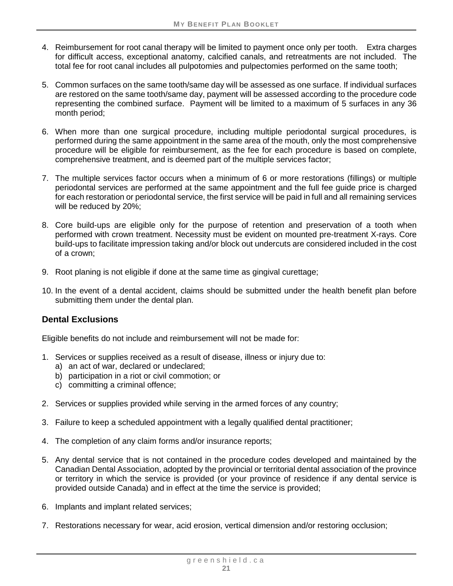- 4. Reimbursement for root canal therapy will be limited to payment once only per tooth. Extra charges for difficult access, exceptional anatomy, calcified canals, and retreatments are not included. The total fee for root canal includes all pulpotomies and pulpectomies performed on the same tooth;
- 5. Common surfaces on the same tooth/same day will be assessed as one surface. If individual surfaces are restored on the same tooth/same day, payment will be assessed according to the procedure code representing the combined surface. Payment will be limited to a maximum of 5 surfaces in any 36 month period;
- 6. When more than one surgical procedure, including multiple periodontal surgical procedures, is performed during the same appointment in the same area of the mouth, only the most comprehensive procedure will be eligible for reimbursement, as the fee for each procedure is based on complete, comprehensive treatment, and is deemed part of the multiple services factor;
- 7. The multiple services factor occurs when a minimum of 6 or more restorations (fillings) or multiple periodontal services are performed at the same appointment and the full fee guide price is charged for each restoration or periodontal service, the first service will be paid in full and all remaining services will be reduced by 20%;
- 8. Core build-ups are eligible only for the purpose of retention and preservation of a tooth when performed with crown treatment. Necessity must be evident on mounted pre-treatment X-rays. Core build-ups to facilitate impression taking and/or block out undercuts are considered included in the cost of a crown;
- 9. Root planing is not eligible if done at the same time as gingival curettage;
- 10. In the event of a dental accident, claims should be submitted under the health benefit plan before submitting them under the dental plan.

# **Dental Exclusions**

Eligible benefits do not include and reimbursement will not be made for:

- 1. Services or supplies received as a result of disease, illness or injury due to:
	- a) an act of war, declared or undeclared;
	- b) participation in a riot or civil commotion; or
	- c) committing a criminal offence;
- 2. Services or supplies provided while serving in the armed forces of any country;
- 3. Failure to keep a scheduled appointment with a legally qualified dental practitioner;
- 4. The completion of any claim forms and/or insurance reports;
- 5. Any dental service that is not contained in the procedure codes developed and maintained by the Canadian Dental Association, adopted by the provincial or territorial dental association of the province or territory in which the service is provided (or your province of residence if any dental service is provided outside Canada) and in effect at the time the service is provided;
- 6. Implants and implant related services;
- 7. Restorations necessary for wear, acid erosion, vertical dimension and/or restoring occlusion;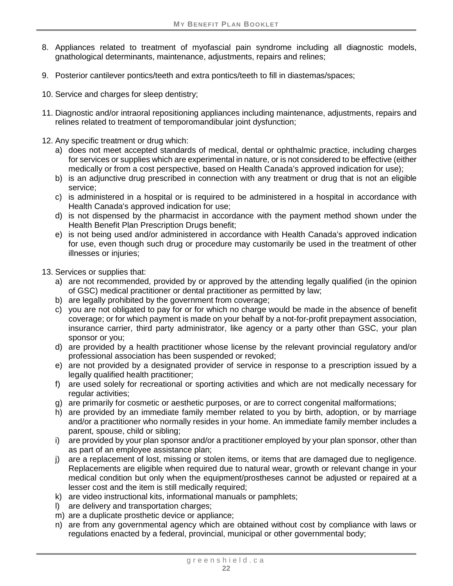- 8. Appliances related to treatment of myofascial pain syndrome including all diagnostic models, gnathological determinants, maintenance, adjustments, repairs and relines;
- 9. Posterior cantilever pontics/teeth and extra pontics/teeth to fill in diastemas/spaces;
- 10. Service and charges for sleep dentistry;
- 11. Diagnostic and/or intraoral repositioning appliances including maintenance, adjustments, repairs and relines related to treatment of temporomandibular joint dysfunction;
- 12. Any specific treatment or drug which:
	- a) does not meet accepted standards of medical, dental or ophthalmic practice, including charges for services or supplies which are experimental in nature, or is not considered to be effective (either medically or from a cost perspective, based on Health Canada's approved indication for use);
	- b) is an adjunctive drug prescribed in connection with any treatment or drug that is not an eligible service;
	- c) is administered in a hospital or is required to be administered in a hospital in accordance with Health Canada's approved indication for use;
	- d) is not dispensed by the pharmacist in accordance with the payment method shown under the Health Benefit Plan Prescription Drugs benefit;
	- e) is not being used and/or administered in accordance with Health Canada's approved indication for use, even though such drug or procedure may customarily be used in the treatment of other illnesses or injuries;
- 13. Services or supplies that:
	- a) are not recommended, provided by or approved by the attending legally qualified (in the opinion of GSC) medical practitioner or dental practitioner as permitted by law;
	- b) are legally prohibited by the government from coverage;
	- c) you are not obligated to pay for or for which no charge would be made in the absence of benefit coverage; or for which payment is made on your behalf by a not-for-profit prepayment association, insurance carrier, third party administrator, like agency or a party other than GSC, your plan sponsor or you;
	- d) are provided by a health practitioner whose license by the relevant provincial regulatory and/or professional association has been suspended or revoked;
	- e) are not provided by a designated provider of service in response to a prescription issued by a legally qualified health practitioner;
	- f) are used solely for recreational or sporting activities and which are not medically necessary for regular activities;
	- g) are primarily for cosmetic or aesthetic purposes, or are to correct congenital malformations;
	- h) are provided by an immediate family member related to you by birth, adoption, or by marriage and/or a practitioner who normally resides in your home. An immediate family member includes a parent, spouse, child or sibling;
	- i) are provided by your plan sponsor and/or a practitioner employed by your plan sponsor, other than as part of an employee assistance plan;
	- j) are a replacement of lost, missing or stolen items, or items that are damaged due to negligence. Replacements are eligible when required due to natural wear, growth or relevant change in your medical condition but only when the equipment/prostheses cannot be adjusted or repaired at a lesser cost and the item is still medically required;
	- k) are video instructional kits, informational manuals or pamphlets;
	- l) are delivery and transportation charges;
	- m) are a duplicate prosthetic device or appliance;
	- n) are from any governmental agency which are obtained without cost by compliance with laws or regulations enacted by a federal, provincial, municipal or other governmental body;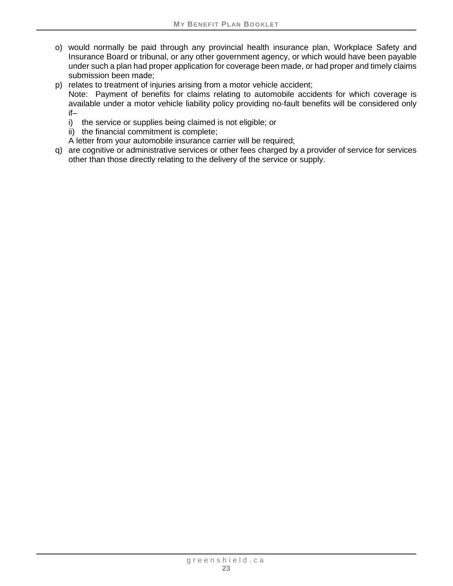- o) would normally be paid through any provincial health insurance plan, Workplace Safety and Insurance Board or tribunal, or any other government agency, or which would have been payable under such a plan had proper application for coverage been made, or had proper and timely claims submission been made;
- p) relates to treatment of injuries arising from a motor vehicle accident;
	- Note: Payment of benefits for claims relating to automobile accidents for which coverage is available under a motor vehicle liability policy providing no-fault benefits will be considered only if–
		- i) the service or supplies being claimed is not eligible; or
		- ii) the financial commitment is complete;

A letter from your automobile insurance carrier will be required;

q) are cognitive or administrative services or other fees charged by a provider of service for services other than those directly relating to the delivery of the service or supply.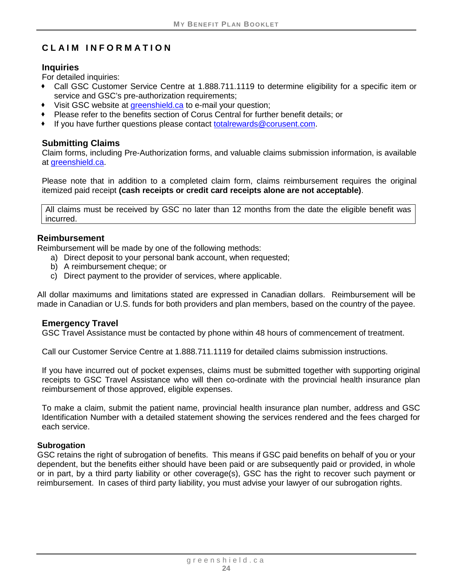# <span id="page-28-0"></span>**CLAIM INFORMATION**

#### **Inquiries**

For detailed inquiries:

- Call GSC Customer Service Centre at 1.888.711.1119 to determine eligibility for a specific item or service and GSC's pre-authorization requirements;
- Visit GSC website at [greenshield.ca](http://www.greenshield.ca/) to e-mail your question;
- Please refer to the benefits section of Corus Central for further benefit details; or
- If you have further questions please contact [totalrewards@corusent.com.](mailto:totalrewards@corusent.com)

#### **Submitting Claims**

Claim forms, including Pre-Authorization forms, and valuable claims submission information, is available at [greenshield.ca.](http://www.greenshield.ca/)

Please note that in addition to a completed claim form, claims reimbursement requires the original itemized paid receipt **(cash receipts or credit card receipts alone are not acceptable)**.

All claims must be received by GSC no later than 12 months from the date the eligible benefit was incurred.

#### **Reimbursement**

Reimbursement will be made by one of the following methods:

- a) Direct deposit to your personal bank account, when requested;
- b) A reimbursement cheque; or
- c) Direct payment to the provider of services, where applicable.

All dollar maximums and limitations stated are expressed in Canadian dollars. Reimbursement will be made in Canadian or U.S. funds for both providers and plan members, based on the country of the payee.

#### **Emergency Travel**

GSC Travel Assistance must be contacted by phone within 48 hours of commencement of treatment.

Call our Customer Service Centre at 1.888.711.1119 for detailed claims submission instructions.

If you have incurred out of pocket expenses, claims must be submitted together with supporting original receipts to GSC Travel Assistance who will then co-ordinate with the provincial health insurance plan reimbursement of those approved, eligible expenses.

To make a claim, submit the patient name, provincial health insurance plan number, address and GSC Identification Number with a detailed statement showing the services rendered and the fees charged for each service.

#### **Subrogation**

GSC retains the right of subrogation of benefits. This means if GSC paid benefits on behalf of you or your dependent, but the benefits either should have been paid or are subsequently paid or provided, in whole or in part, by a third party liability or other coverage(s), GSC has the right to recover such payment or reimbursement. In cases of third party liability, you must advise your lawyer of our subrogation rights.